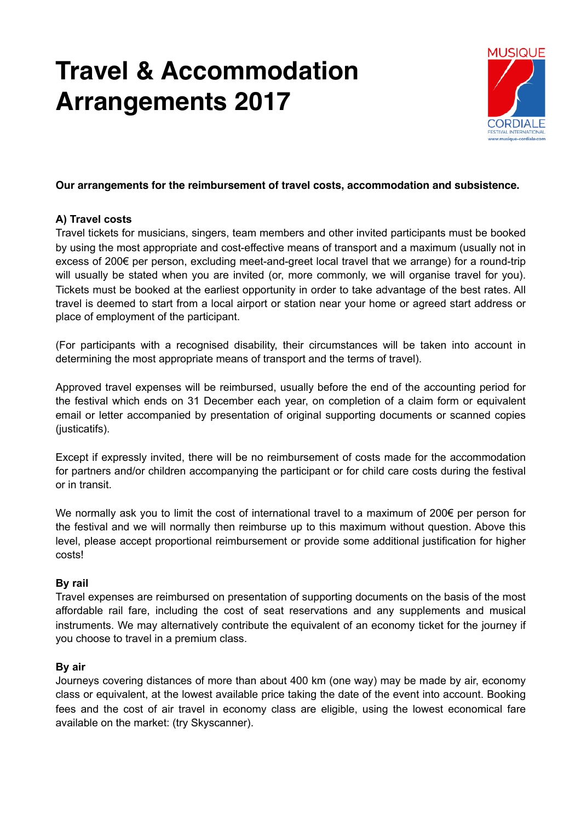# **Travel & Accommodation Arrangements 2017**



## **Our arrangements for the reimbursement of travel costs, accommodation and subsistence.**

## **A) Travel costs**

Travel tickets for musicians, singers, team members and other invited participants must be booked by using the most appropriate and cost-effective means of transport and a maximum (usually not in excess of 200€ per person, excluding meet-and-greet local travel that we arrange) for a round-trip will usually be stated when you are invited (or, more commonly, we will organise travel for you). Tickets must be booked at the earliest opportunity in order to take advantage of the best rates. All travel is deemed to start from a local airport or station near your home or agreed start address or place of employment of the participant.

(For participants with a recognised disability, their circumstances will be taken into account in determining the most appropriate means of transport and the terms of travel).

Approved travel expenses will be reimbursed, usually before the end of the accounting period for the festival which ends on 31 December each year, on completion of a claim form or equivalent email or letter accompanied by presentation of original supporting documents or scanned copies (justicatifs).

Except if expressly invited, there will be no reimbursement of costs made for the accommodation for partners and/or children accompanying the participant or for child care costs during the festival or in transit.

We normally ask you to limit the cost of international travel to a maximum of 200€ per person for the festival and we will normally then reimburse up to this maximum without question. Above this level, please accept proportional reimbursement or provide some additional justification for higher costs!

#### **By rail**

Travel expenses are reimbursed on presentation of supporting documents on the basis of the most affordable rail fare, including the cost of seat reservations and any supplements and musical instruments. We may alternatively contribute the equivalent of an economy ticket for the journey if you choose to travel in a premium class.

# **By air**

Journeys covering distances of more than about 400 km (one way) may be made by air, economy class or equivalent, at the lowest available price taking the date of the event into account. Booking fees and the cost of air travel in economy class are eligible, using the lowest economical fare available on the market: (try Skyscanner).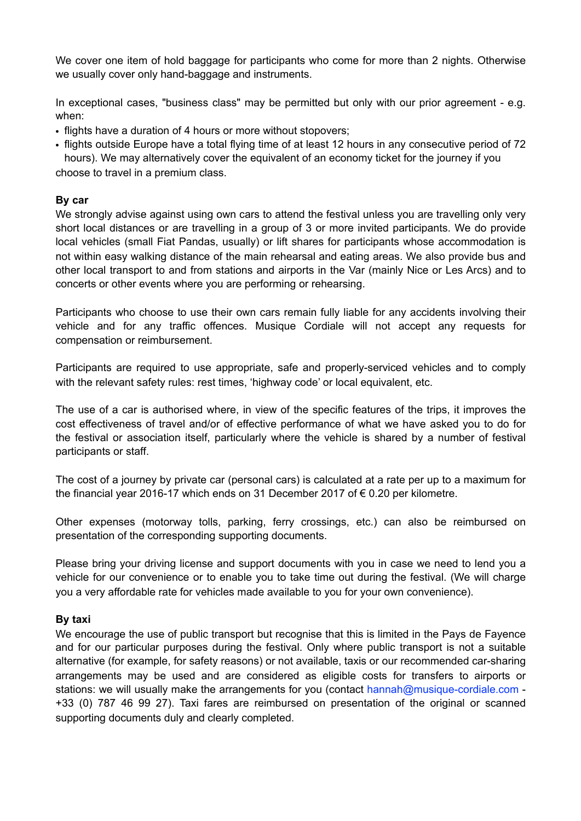We cover one item of hold baggage for participants who come for more than 2 nights. Otherwise we usually cover only hand-baggage and instruments.

In exceptional cases, "business class" may be permitted but only with our prior agreement - e.g. when:

- flights have a duration of 4 hours or more without stopovers;
- flights outside Europe have a total flying time of at least 12 hours in any consecutive period of 72 hours). We may alternatively cover the equivalent of an economy ticket for the journey if you

choose to travel in a premium class.

## **By car**

We strongly advise against using own cars to attend the festival unless you are travelling only very short local distances or are travelling in a group of 3 or more invited participants. We do provide local vehicles (small Fiat Pandas, usually) or lift shares for participants whose accommodation is not within easy walking distance of the main rehearsal and eating areas. We also provide bus and other local transport to and from stations and airports in the Var (mainly Nice or Les Arcs) and to concerts or other events where you are performing or rehearsing.

Participants who choose to use their own cars remain fully liable for any accidents involving their vehicle and for any traffic offences. Musique Cordiale will not accept any requests for compensation or reimbursement.

Participants are required to use appropriate, safe and properly-serviced vehicles and to comply with the relevant safety rules: rest times, 'highway code' or local equivalent, etc.

The use of a car is authorised where, in view of the specific features of the trips, it improves the cost effectiveness of travel and/or of effective performance of what we have asked you to do for the festival or association itself, particularly where the vehicle is shared by a number of festival participants or staff.

The cost of a journey by private car (personal cars) is calculated at a rate per up to a maximum for the financial year 2016-17 which ends on 31 December 2017 of € 0.20 per kilometre.

Other expenses (motorway tolls, parking, ferry crossings, etc.) can also be reimbursed on presentation of the corresponding supporting documents.

Please bring your driving license and support documents with you in case we need to lend you a vehicle for our convenience or to enable you to take time out during the festival. (We will charge you a very affordable rate for vehicles made available to you for your own convenience).

# **By taxi**

We encourage the use of public transport but recognise that this is limited in the Pays de Fayence and for our particular purposes during the festival. Only where public transport is not a suitable alternative (for example, for safety reasons) or not available, taxis or our recommended car-sharing arrangements may be used and are considered as eligible costs for transfers to airports or stations: we will usually make the arrangements for you (contact hannah@musique-cordiale.com - +33 (0) 787 46 99 27). Taxi fares are reimbursed on presentation of the original or scanned supporting documents duly and clearly completed.